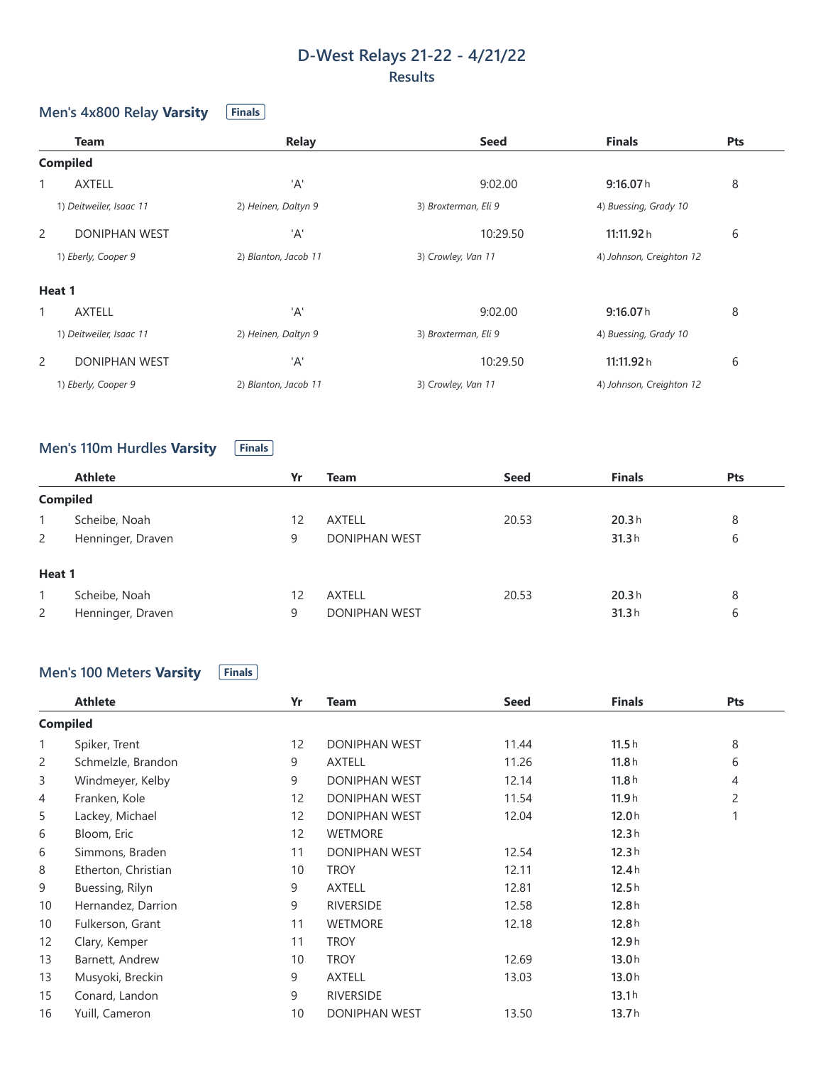# **D-West Relays 21-22 - 4/21/22 Results**

### **Men's 4x800 Relay Varsity Finals**

|                | <b>Team</b>             | <b>Relay</b>         | <b>Seed</b>          | <b>Finals</b>            | Pts |
|----------------|-------------------------|----------------------|----------------------|--------------------------|-----|
|                | <b>Compiled</b>         |                      |                      |                          |     |
| 1              | <b>AXTELL</b>           | 'A'                  | 9:02.00              | 9:16.07h                 | 8   |
|                | 1) Deitweiler, Isaac 11 | 2) Heinen, Daltyn 9  | 3) Broxterman, Eli 9 | 4) Buessing, Grady 10    |     |
| $\overline{2}$ | <b>DONIPHAN WEST</b>    | 'A'                  | 10:29.50             | 11:11.92 h               | 6   |
|                | 1) Eberly, Cooper 9     | 2) Blanton, Jacob 11 | 3) Crowley, Van 11   | 4) Johnson, Creighton 12 |     |
| Heat 1         |                         |                      |                      |                          |     |
|                | <b>AXTELL</b>           | 'A'                  | 9:02.00              | 9:16.07h                 | 8   |
|                | 1) Deitweiler, Isaac 11 | 2) Heinen, Daltyn 9  | 3) Broxterman, Eli 9 | 4) Buessing, Grady 10    |     |
| 2              | <b>DONIPHAN WEST</b>    | 'A'                  | 10:29.50             | 11:11.92 h               | 6   |
|                | 1) Eberly, Cooper 9     | 2) Blanton, Jacob 11 | 3) Crowley, Van 11   | 4) Johnson, Creighton 12 |     |

# **Men's** 110m Hurdles Varsity **Finals**

|                 | <b>Athlete</b>    | Yr | <b>Team</b>          | <b>Seed</b> | <b>Finals</b> | <b>Pts</b> |
|-----------------|-------------------|----|----------------------|-------------|---------------|------------|
| <b>Compiled</b> |                   |    |                      |             |               |            |
|                 | Scheibe, Noah     | 12 | <b>AXTELL</b>        | 20.53       | 20.3h         | 8          |
| 2               | Henninger, Draven | 9  | <b>DONIPHAN WEST</b> |             | 31.3h         | 6          |
| Heat 1          |                   |    |                      |             |               |            |
|                 | Scheibe, Noah     | 12 | <b>AXTELL</b>        | 20.53       | 20.3h         | 8          |
| 2               | Henninger, Draven | 9  | <b>DONIPHAN WEST</b> |             | 31.3h         | 6          |

### **Men's** 100 Meters **Varsity Finals**

|                 | <b>Athlete</b>      | Yr                | Team                 | <b>Seed</b> | <b>Finals</b> | Pts            |
|-----------------|---------------------|-------------------|----------------------|-------------|---------------|----------------|
| <b>Compiled</b> |                     |                   |                      |             |               |                |
| $\mathbf{1}$    | Spiker, Trent       | $12 \overline{ }$ | DONIPHAN WEST        | 11.44       | 11.5h         | 8              |
| 2               | Schmelzle, Brandon  | 9                 | AXTELL               | 11.26       | 11.8h         | 6              |
| 3               | Windmeyer, Kelby    | 9                 | <b>DONIPHAN WEST</b> | 12.14       | 11.8h         | 4              |
| 4               | Franken, Kole       | 12                | DONIPHAN WEST        | 11.54       | 11.9h         | $\overline{c}$ |
| 5               | Lackey, Michael     | $12 \overline{ }$ | <b>DONIPHAN WEST</b> | 12.04       | 12.0h         | 1              |
| 6               | Bloom, Eric         | $12 \overline{ }$ | <b>WETMORE</b>       |             | 12.3h         |                |
| 6               | Simmons, Braden     | 11                | DONIPHAN WEST        | 12.54       | 12.3h         |                |
| 8               | Etherton, Christian | 10                | <b>TROY</b>          | 12.11       | 12.4h         |                |
| 9               | Buessing, Rilyn     | 9                 | <b>AXTELL</b>        | 12.81       | 12.5h         |                |
| 10              | Hernandez, Darrion  | 9                 | <b>RIVERSIDE</b>     | 12.58       | 12.8h         |                |
| 10              | Fulkerson, Grant    | 11                | <b>WETMORE</b>       | 12.18       | 12.8h         |                |
| 12              | Clary, Kemper       | 11                | <b>TROY</b>          |             | 12.9h         |                |
| 13              | Barnett, Andrew     | 10                | <b>TROY</b>          | 12.69       | 13.0h         |                |
| 13              | Musyoki, Breckin    | 9                 | <b>AXTELL</b>        | 13.03       | 13.0h         |                |
| 15              | Conard, Landon      | 9                 | <b>RIVERSIDE</b>     |             | 13.1h         |                |
| 16              | Yuill, Cameron      | 10                | <b>DONIPHAN WEST</b> | 13.50       | 13.7h         |                |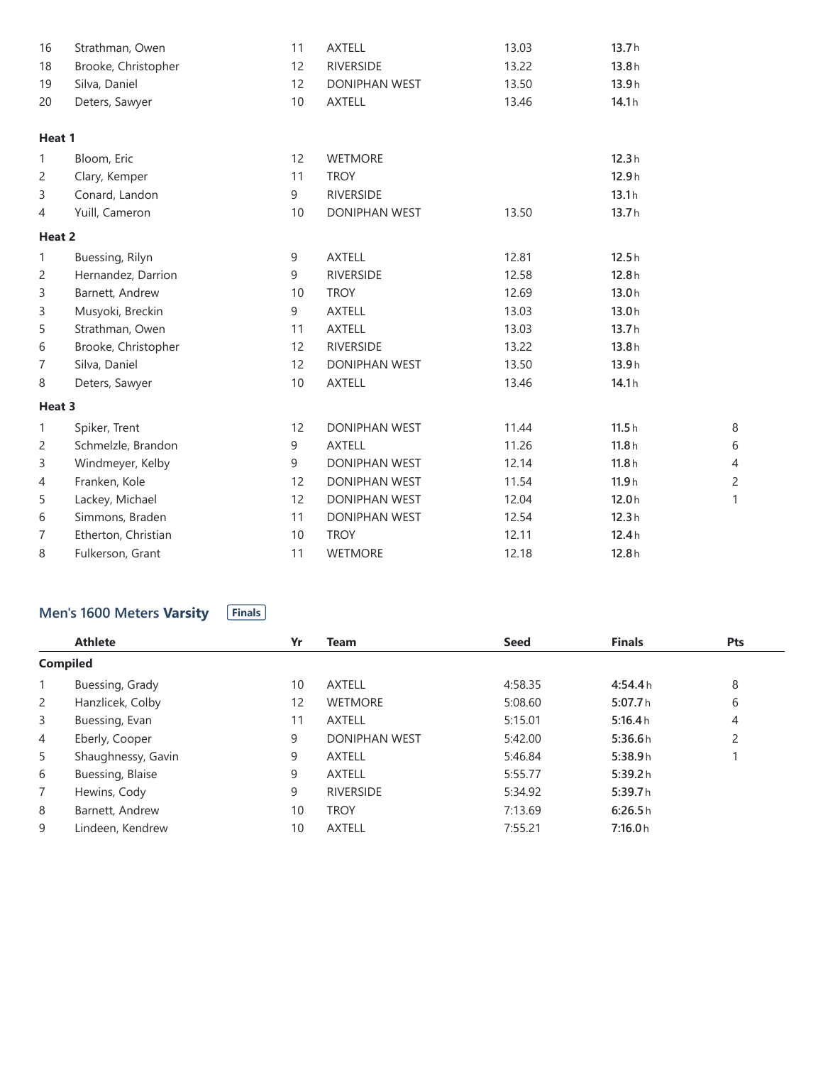| 16     | Strathman, Owen     | 11 | <b>AXTELL</b>        | 13.03 | 13.7h |                |
|--------|---------------------|----|----------------------|-------|-------|----------------|
| 18     | Brooke, Christopher | 12 | <b>RIVERSIDE</b>     | 13.22 | 13.8h |                |
| 19     | Silva, Daniel       | 12 | DONIPHAN WEST        | 13.50 | 13.9h |                |
| 20     | Deters, Sawyer      | 10 | <b>AXTELL</b>        | 13.46 | 14.1h |                |
| Heat 1 |                     |    |                      |       |       |                |
| 1      | Bloom, Eric         | 12 | <b>WETMORE</b>       |       | 12.3h |                |
| 2      | Clary, Kemper       | 11 | <b>TROY</b>          |       | 12.9h |                |
| 3      | Conard, Landon      | 9  | <b>RIVERSIDE</b>     |       | 13.1h |                |
| 4      | Yuill, Cameron      | 10 | DONIPHAN WEST        | 13.50 | 13.7h |                |
| Heat 2 |                     |    |                      |       |       |                |
| 1      | Buessing, Rilyn     | 9  | <b>AXTELL</b>        | 12.81 | 12.5h |                |
| 2      | Hernandez, Darrion  | 9  | <b>RIVERSIDE</b>     | 12.58 | 12.8h |                |
| 3      | Barnett, Andrew     | 10 | <b>TROY</b>          | 12.69 | 13.0h |                |
| 3      | Musyoki, Breckin    | 9  | <b>AXTELL</b>        | 13.03 | 13.0h |                |
| 5      | Strathman, Owen     | 11 | <b>AXTELL</b>        | 13.03 | 13.7h |                |
| 6      | Brooke, Christopher | 12 | <b>RIVERSIDE</b>     | 13.22 | 13.8h |                |
| 7      | Silva, Daniel       | 12 | <b>DONIPHAN WEST</b> | 13.50 | 13.9h |                |
| 8      | Deters, Sawyer      | 10 | <b>AXTELL</b>        | 13.46 | 14.1h |                |
| Heat 3 |                     |    |                      |       |       |                |
| 1      | Spiker, Trent       | 12 | DONIPHAN WEST        | 11.44 | 11.5h | 8              |
| 2      | Schmelzle, Brandon  | 9  | <b>AXTELL</b>        | 11.26 | 11.8h | 6              |
| 3      | Windmeyer, Kelby    | 9  | <b>DONIPHAN WEST</b> | 12.14 | 11.8h | $\overline{4}$ |
| 4      | Franken, Kole       | 12 | DONIPHAN WEST        | 11.54 | 11.9h | $\overline{c}$ |
| 5      | Lackey, Michael     | 12 | DONIPHAN WEST        | 12.04 | 12.0h | 1              |
| 6      | Simmons, Braden     | 11 | <b>DONIPHAN WEST</b> | 12.54 | 12.3h |                |
| 7      | Etherton, Christian | 10 | <b>TROY</b>          | 12.11 | 12.4h |                |
| 8      | Fulkerson, Grant    | 11 | <b>WETMORE</b>       | 12.18 | 12.8h |                |

#### Men's 1600 Meters Varsity **Finals**

|                 | <b>Athlete</b>     | Yr | Team                 | <b>Seed</b> | <b>Finals</b> | <b>Pts</b> |
|-----------------|--------------------|----|----------------------|-------------|---------------|------------|
| <b>Compiled</b> |                    |    |                      |             |               |            |
|                 | Buessing, Grady    | 10 | <b>AXTELL</b>        | 4:58.35     | 4:54.4h       | 8          |
| $\overline{2}$  | Hanzlicek, Colby   | 12 | <b>WETMORE</b>       | 5:08.60     | 5:07.7h       | 6          |
| 3               | Buessing, Evan     | 11 | <b>AXTELL</b>        | 5:15.01     | 5:16.4h       | 4          |
| 4               | Eberly, Cooper     | 9  | <b>DONIPHAN WEST</b> | 5:42.00     | 5:36.6h       | 2          |
| 5               | Shaughnessy, Gavin | 9  | <b>AXTELL</b>        | 5:46.84     | 5:38.9h       |            |
| 6               | Buessing, Blaise   | 9  | <b>AXTELL</b>        | 5:55.77     | 5:39.2h       |            |
| $\overline{7}$  | Hewins, Cody       | 9  | <b>RIVERSIDE</b>     | 5:34.92     | 5:39.7h       |            |
| 8               | Barnett, Andrew    | 10 | <b>TROY</b>          | 7:13.69     | 6:26.5h       |            |
| 9               | Lindeen, Kendrew   | 10 | <b>AXTELL</b>        | 7:55.21     | 7:16.0h       |            |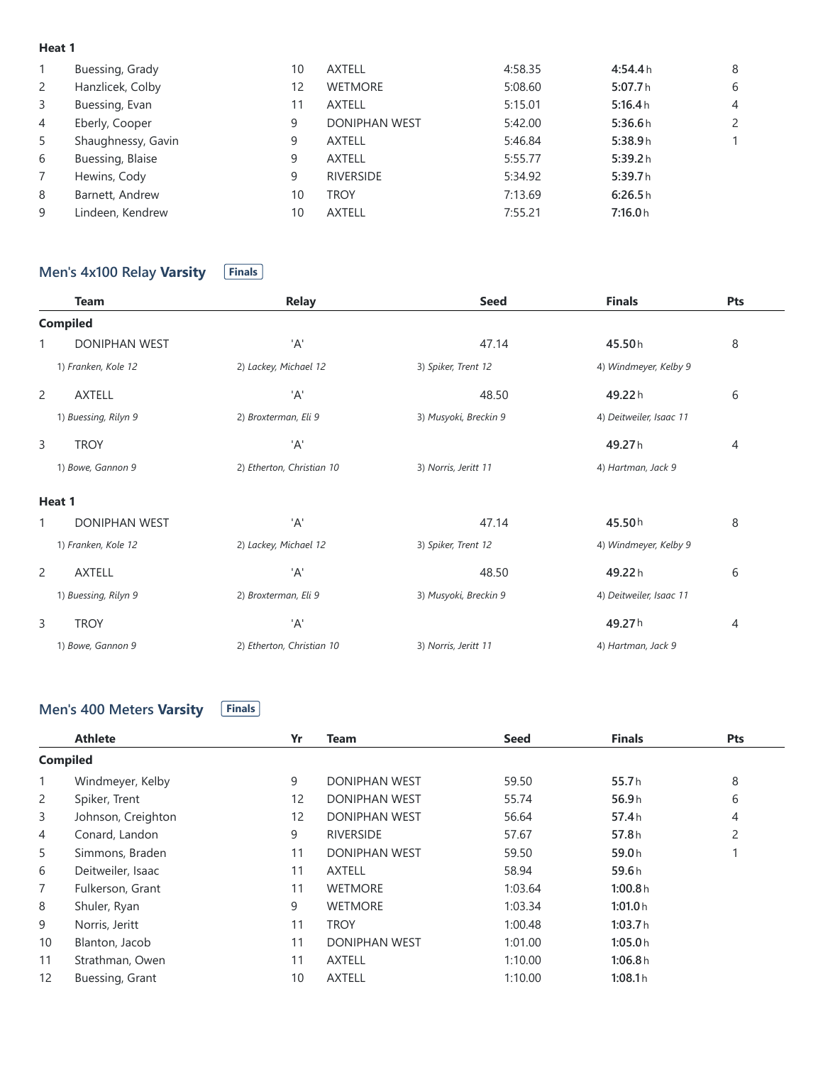#### **Heat 1**

|                | Buessing, Grady    | 10 | <b>AXTELL</b>        | 4:58.35 | 4:54.4h | 8                     |
|----------------|--------------------|----|----------------------|---------|---------|-----------------------|
| 2              | Hanzlicek, Colby   | 12 | <b>WETMORE</b>       | 5:08.60 | 5:07.7h | 6                     |
| 3              | Buessing, Evan     | 11 | <b>AXTELL</b>        | 5:15.01 | 5:16.4h | $\overline{4}$        |
| 4              | Eberly, Cooper     | 9  | <b>DONIPHAN WEST</b> | 5:42.00 | 5:36.6h | $\mathbf{2}^{\prime}$ |
| 5              | Shaughnessy, Gavin | 9  | <b>AXTELL</b>        | 5:46.84 | 5:38.9h | 1.                    |
| 6              | Buessing, Blaise   | 9  | <b>AXTELL</b>        | 5:55.77 | 5:39.2h |                       |
| $\overline{7}$ | Hewins, Cody       | 9  | <b>RIVERSIDE</b>     | 5:34.92 | 5:39.7h |                       |
| 8              | Barnett, Andrew    | 10 | <b>TROY</b>          | 7:13.69 | 6:26.5h |                       |
| 9              | Lindeen, Kendrew   | 10 | <b>AXTELL</b>        | 7:55.21 | 7:16.0h |                       |
|                |                    |    |                      |         |         |                       |

# **Men's** 4x100 Relay Varsity **Finals**

| <b>Team</b>               | <b>Relay</b>              | <b>Seed</b>           | <b>Finals</b>           | Pts |
|---------------------------|---------------------------|-----------------------|-------------------------|-----|
| <b>Compiled</b>           |                           |                       |                         |     |
| <b>DONIPHAN WEST</b><br>1 | 'A'                       | 47.14                 | 45.50h                  | 8   |
| 1) Franken, Kole 12       | 2) Lackey, Michael 12     | 3) Spiker, Trent 12   | 4) Windmeyer, Kelby 9   |     |
| 2<br><b>AXTELL</b>        | 'A'                       | 48.50                 | 49.22h                  | 6   |
| 1) Buessing, Rilyn 9      | 2) Broxterman, Eli 9      | 3) Musyoki, Breckin 9 | 4) Deitweiler, Isaac 11 |     |
| 3<br><b>TROY</b>          | 'A'                       |                       | 49.27h                  | 4   |
| 1) Bowe, Gannon 9         | 2) Etherton, Christian 10 | 3) Norris, Jeritt 11  | 4) Hartman, Jack 9      |     |
| Heat 1                    |                           |                       |                         |     |
| <b>DONIPHAN WEST</b><br>1 | 'A'                       | 47.14                 | 45.50h                  | 8   |
| 1) Franken, Kole 12       | 2) Lackey, Michael 12     | 3) Spiker, Trent 12   | 4) Windmeyer, Kelby 9   |     |
| <b>AXTELL</b><br>2        | 'A'                       | 48.50                 | 49.22h                  | 6   |
| 1) Buessing, Rilyn 9      | 2) Broxterman, Eli 9      | 3) Musyoki, Breckin 9 | 4) Deitweiler, Isaac 11 |     |
| 3<br><b>TROY</b>          | 'A'                       |                       | 49.27h                  | 4   |
| 1) Bowe, Gannon 9         | 2) Etherton, Christian 10 | 3) Norris, Jeritt 11  | 4) Hartman, Jack 9      |     |

#### **Men's 400 Meters Varsity Finals**

|                 | <b>Athlete</b>     | Yr                | <b>Team</b>          | <b>Seed</b> | <b>Finals</b> | Pts            |
|-----------------|--------------------|-------------------|----------------------|-------------|---------------|----------------|
| <b>Compiled</b> |                    |                   |                      |             |               |                |
| 1               | Windmeyer, Kelby   | 9                 | <b>DONIPHAN WEST</b> | 59.50       | 55.7h         | 8              |
| 2               | Spiker, Trent      | $12 \overline{ }$ | <b>DONIPHAN WEST</b> | 55.74       | 56.9h         | 6              |
| 3               | Johnson, Creighton | $12 \overline{ }$ | <b>DONIPHAN WEST</b> | 56.64       | 57.4h         | 4              |
| 4               | Conard, Landon     | 9                 | <b>RIVERSIDE</b>     | 57.67       | 57.8h         | $\overline{2}$ |
| 5               | Simmons, Braden    | 11                | <b>DONIPHAN WEST</b> | 59.50       | 59.0h         |                |
| 6               | Deitweiler, Isaac  | 11                | <b>AXTELL</b>        | 58.94       | 59.6h         |                |
| 7               | Fulkerson, Grant   | 11                | <b>WETMORE</b>       | 1:03.64     | 1:00.8h       |                |
| 8               | Shuler, Ryan       | 9                 | <b>WETMORE</b>       | 1:03.34     | 1:01.0h       |                |
| 9               | Norris, Jeritt     | 11                | <b>TROY</b>          | 1:00.48     | 1:03.7h       |                |
| 10 <sup>°</sup> | Blanton, Jacob     | 11                | <b>DONIPHAN WEST</b> | 1:01.00     | 1:05.0h       |                |
| 11              | Strathman, Owen    | 11                | <b>AXTELL</b>        | 1:10.00     | 1:06.8h       |                |
| 12              | Buessing, Grant    | 10                | <b>AXTELL</b>        | 1:10.00     | 1:08.1h       |                |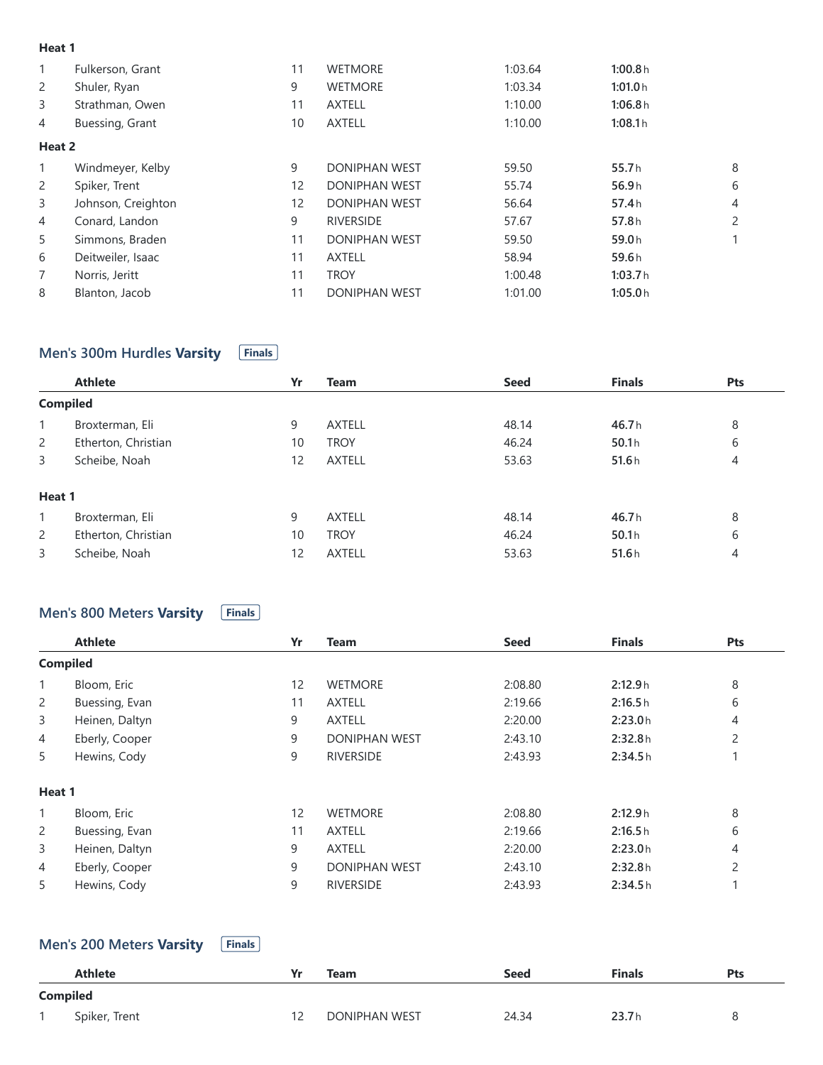#### **Heat 1**

| 1              | Fulkerson, Grant   | 11 | <b>WETMORE</b>       | 1:03.64 | 1:00.8h    |                       |
|----------------|--------------------|----|----------------------|---------|------------|-----------------------|
| 2              | Shuler, Ryan       | 9  | <b>WETMORE</b>       | 1:03.34 | 1:01.0h    |                       |
| 3              | Strathman, Owen    | 11 | <b>AXTELL</b>        | 1:10.00 | 1:06.8h    |                       |
| 4              | Buessing, Grant    | 10 | <b>AXTELL</b>        | 1:10.00 | 1:08.1h    |                       |
| Heat 2         |                    |    |                      |         |            |                       |
| 1              | Windmeyer, Kelby   | 9  | <b>DONIPHAN WEST</b> | 59.50   | 55.7h<br>8 |                       |
| $\overline{2}$ | Spiker, Trent      | 12 | <b>DONIPHAN WEST</b> | 55.74   | 56.9h      | 6                     |
| 3              | Johnson, Creighton | 12 | <b>DONIPHAN WEST</b> | 56.64   | 57.4h      | $\overline{4}$        |
| 4              | Conard, Landon     | 9  | <b>RIVERSIDE</b>     | 57.67   | 57.8h      | $\mathbf{2}^{\prime}$ |
| 5              | Simmons, Braden    | 11 | <b>DONIPHAN WEST</b> | 59.50   | 59.0h      |                       |
| 6              | Deitweiler, Isaac  | 11 | <b>AXTELL</b>        | 58.94   | 59.6h      |                       |
| $\overline{7}$ | Norris, Jeritt     | 11 | <b>TROY</b>          | 1:00.48 | 1:03.7h    |                       |
| 8              | Blanton, Jacob     | 11 | <b>DONIPHAN WEST</b> | 1:01.00 | 1:05.0h    |                       |

# **Men's** 300m Hurdles Varsity **Finals**

|                 | <b>Athlete</b>      | Yr | <b>Team</b>   | <b>Seed</b> | <b>Finals</b> | Pts |
|-----------------|---------------------|----|---------------|-------------|---------------|-----|
| <b>Compiled</b> |                     |    |               |             |               |     |
| $\mathbf{1}$    | Broxterman, Eli     | 9  | <b>AXTELL</b> | 48.14       | 46.7h         | 8   |
| 2               | Etherton, Christian | 10 | <b>TROY</b>   | 46.24       | 50.1h         | 6   |
| 3               | Scheibe, Noah       | 12 | <b>AXTELL</b> | 53.63       | 51.6h         | 4   |
| Heat 1          |                     |    |               |             |               |     |
| $\mathbf{1}$    | Broxterman, Eli     | 9  | <b>AXTELL</b> | 48.14       | 46.7h         | 8   |
| 2               | Etherton, Christian | 10 | <b>TROY</b>   | 46.24       | 50.1h         | 6   |
| 3               | Scheibe, Noah       | 12 | <b>AXTELL</b> | 53.63       | 51.6h         | 4   |

# **Men's** 800 Meters **Varsity Finals**

|                | <b>Athlete</b>  | Yr | <b>Team</b>          | <b>Seed</b> | <b>Finals</b> | Pts            |
|----------------|-----------------|----|----------------------|-------------|---------------|----------------|
|                | <b>Compiled</b> |    |                      |             |               |                |
| 1              | Bloom, Eric     | 12 | <b>WETMORE</b>       | 2:08.80     | 2:12.9h       | 8              |
| 2              | Buessing, Evan  | 11 | <b>AXTELL</b>        | 2:19.66     | 2:16.5h       | 6              |
| 3              | Heinen, Daltyn  | 9  | <b>AXTELL</b>        | 2:20.00     | 2:23.0h       | $\overline{4}$ |
| 4              | Eberly, Cooper  | 9  | <b>DONIPHAN WEST</b> | 2:43.10     | 2:32.8h       | 2              |
| 5              | Hewins, Cody    | 9  | <b>RIVERSIDE</b>     | 2:43.93     | 2:34.5h       |                |
| Heat 1         |                 |    |                      |             |               |                |
| $\mathbf{1}$   | Bloom, Eric     | 12 | <b>WETMORE</b>       | 2:08.80     | 2:12.9h       | 8              |
| $\overline{2}$ | Buessing, Evan  | 11 | <b>AXTELL</b>        | 2:19.66     | 2:16.5h       | 6              |
| 3              | Heinen, Daltyn  | 9  | <b>AXTELL</b>        | 2:20.00     | 2:23.0h       | 4              |
| 4              | Eberly, Cooper  | 9  | <b>DONIPHAN WEST</b> | 2:43.10     | 2:32.8h       | $\overline{c}$ |
| 5              | Hewins, Cody    | 9  | <b>RIVERSIDE</b>     | 2:43.93     | 2:34.5h       |                |
|                |                 |    |                      |             |               |                |

# **Men's 200 Meters Varsity Finals**

| . .<br>1 m |  | . . |  |  |  |
|------------|--|-----|--|--|--|
|------------|--|-----|--|--|--|

|          | <b>Athlete</b> | v. | Team                 | <b>Seed</b> | <b>Finals</b> | Pts |
|----------|----------------|----|----------------------|-------------|---------------|-----|
| Compiled |                |    |                      |             |               |     |
|          | Spiker, Trent  |    | <b>DONIPHAN WEST</b> | 24.34       | 23.7h         | 8   |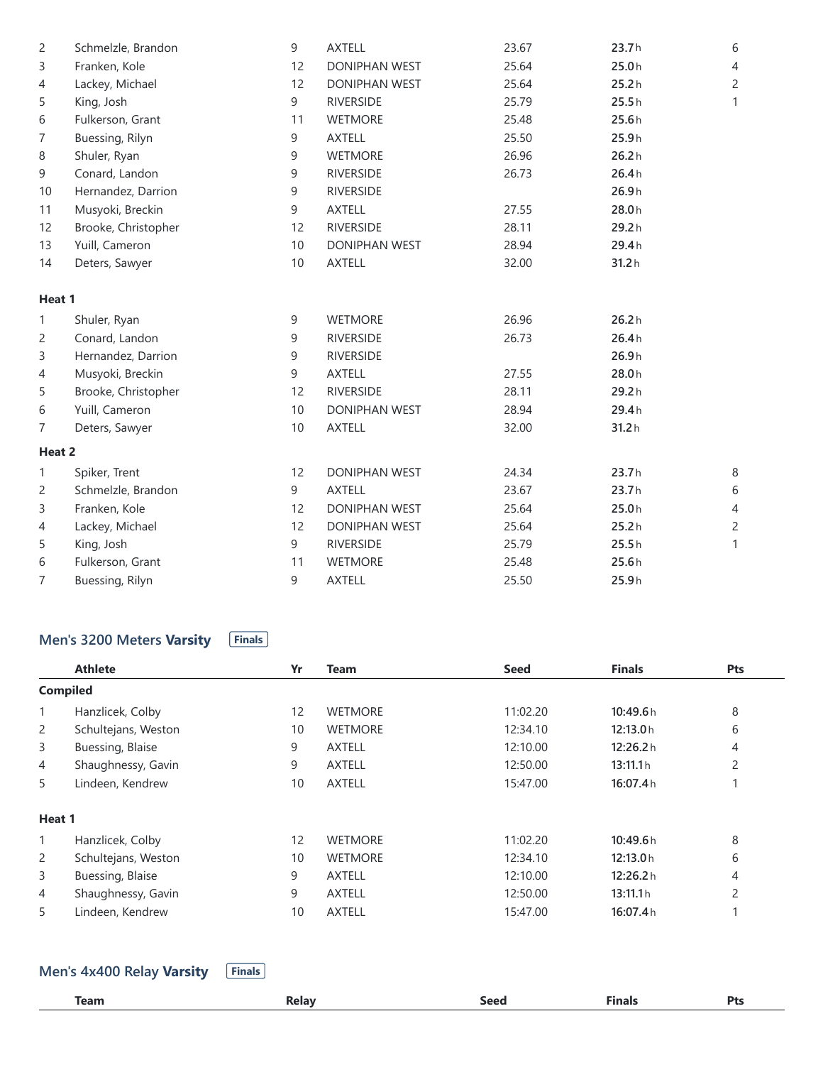| 2      | Schmelzle, Brandon  | 9               | <b>AXTELL</b>        | 23.67 | 23.7h | 6              |
|--------|---------------------|-----------------|----------------------|-------|-------|----------------|
| 3      | Franken, Kole       | 12              | DONIPHAN WEST        | 25.64 | 25.0h | $\overline{4}$ |
| 4      | Lackey, Michael     | 12              | DONIPHAN WEST        | 25.64 | 25.2h | $\overline{c}$ |
| 5      | King, Josh          | 9               | <b>RIVERSIDE</b>     | 25.79 | 25.5h | 1              |
| 6      | Fulkerson, Grant    | 11              | <b>WETMORE</b>       | 25.48 | 25.6h |                |
| 7      | Buessing, Rilyn     | 9               | <b>AXTELL</b>        | 25.50 | 25.9h |                |
| 8      | Shuler, Ryan        | 9               | <b>WETMORE</b>       | 26.96 | 26.2h |                |
| 9      | Conard, Landon      | 9               | <b>RIVERSIDE</b>     | 26.73 | 26.4h |                |
| 10     | Hernandez, Darrion  | 9               | <b>RIVERSIDE</b>     |       | 26.9h |                |
| 11     | Musyoki, Breckin    | 9               | <b>AXTELL</b>        | 27.55 | 28.0h |                |
| 12     | Brooke, Christopher | 12              | <b>RIVERSIDE</b>     | 28.11 | 29.2h |                |
| 13     | Yuill, Cameron      | 10              | DONIPHAN WEST        | 28.94 | 29.4h |                |
| 14     | Deters, Sawyer      | 10              | <b>AXTELL</b>        | 32.00 | 31.2h |                |
| Heat 1 |                     |                 |                      |       |       |                |
| 1      | Shuler, Ryan        | 9               | <b>WETMORE</b>       | 26.96 | 26.2h |                |
| 2      | Conard, Landon      | 9               | <b>RIVERSIDE</b>     | 26.73 | 26.4h |                |
| 3      | Hernandez, Darrion  | 9               | <b>RIVERSIDE</b>     |       | 26.9h |                |
| 4      | Musyoki, Breckin    | 9               | <b>AXTELL</b>        | 27.55 | 28.0h |                |
| 5      | Brooke, Christopher | 12              | <b>RIVERSIDE</b>     | 28.11 | 29.2h |                |
| 6      | Yuill, Cameron      | 10              | DONIPHAN WEST        | 28.94 | 29.4h |                |
| 7      | Deters, Sawyer      | 10 <sup>°</sup> | <b>AXTELL</b>        | 32.00 | 31.2h |                |
| Heat 2 |                     |                 |                      |       |       |                |
| 1      | Spiker, Trent       | 12              | DONIPHAN WEST        | 24.34 | 23.7h | 8              |
| 2      | Schmelzle, Brandon  | 9               | <b>AXTELL</b>        | 23.67 | 23.7h | 6              |
| 3      | Franken, Kole       | 12              | DONIPHAN WEST        | 25.64 | 25.0h | 4              |
| 4      | Lackey, Michael     | 12              | <b>DONIPHAN WEST</b> | 25.64 | 25.2h | 2              |
| 5      | King, Josh          | 9               | <b>RIVERSIDE</b>     | 25.79 | 25.5h | 1              |
| 6      | Fulkerson, Grant    | 11              | <b>WETMORE</b>       | 25.48 | 25.6h |                |
| 7      | Buessing, Rilyn     | 9               | <b>AXTELL</b>        | 25.50 | 25.9h |                |

# **Men's** 3200 Meters **Varsity Finals**

|                | <b>Athlete</b>      | Yr | <b>Team</b>    | <b>Seed</b> | <b>Finals</b> | Pts            |
|----------------|---------------------|----|----------------|-------------|---------------|----------------|
|                | <b>Compiled</b>     |    |                |             |               |                |
| 1              | Hanzlicek, Colby    | 12 | <b>WETMORE</b> | 11:02.20    | 10:49.6h      | 8              |
| 2              | Schultejans, Weston | 10 | <b>WETMORE</b> | 12:34.10    | 12:13.0h      | 6              |
| 3              | Buessing, Blaise    | 9  | <b>AXTELL</b>  | 12:10.00    | 12:26.2 h     | 4              |
| 4              | Shaughnessy, Gavin  | 9  | <b>AXTELL</b>  | 12:50.00    | 13:11.1h      | 2              |
| 5              | Lindeen, Kendrew    | 10 | <b>AXTELL</b>  | 15:47.00    | 16:07.4h      |                |
| Heat 1         |                     |    |                |             |               |                |
| 1              | Hanzlicek, Colby    | 12 | <b>WETMORE</b> | 11:02.20    | 10:49.6h      | 8              |
| $\overline{2}$ | Schultejans, Weston | 10 | <b>WETMORE</b> | 12:34.10    | 12:13.0h      | 6              |
| 3              | Buessing, Blaise    | 9  | <b>AXTELL</b>  | 12:10.00    | 12:26.2 h     | 4              |
| $\overline{4}$ | Shaughnessy, Gavin  | 9  | <b>AXTELL</b>  | 12:50.00    | 13:11.1h      | $\overline{c}$ |
| 5              | Lindeen, Kendrew    | 10 | <b>AXTELL</b>  | 15:47.00    | 16:07.4h      |                |

**Men's** 4x400 Relay **Varsity Finals** 

| <b>LOOP</b><br>------- |  | _______ |  |
|------------------------|--|---------|--|
|                        |  |         |  |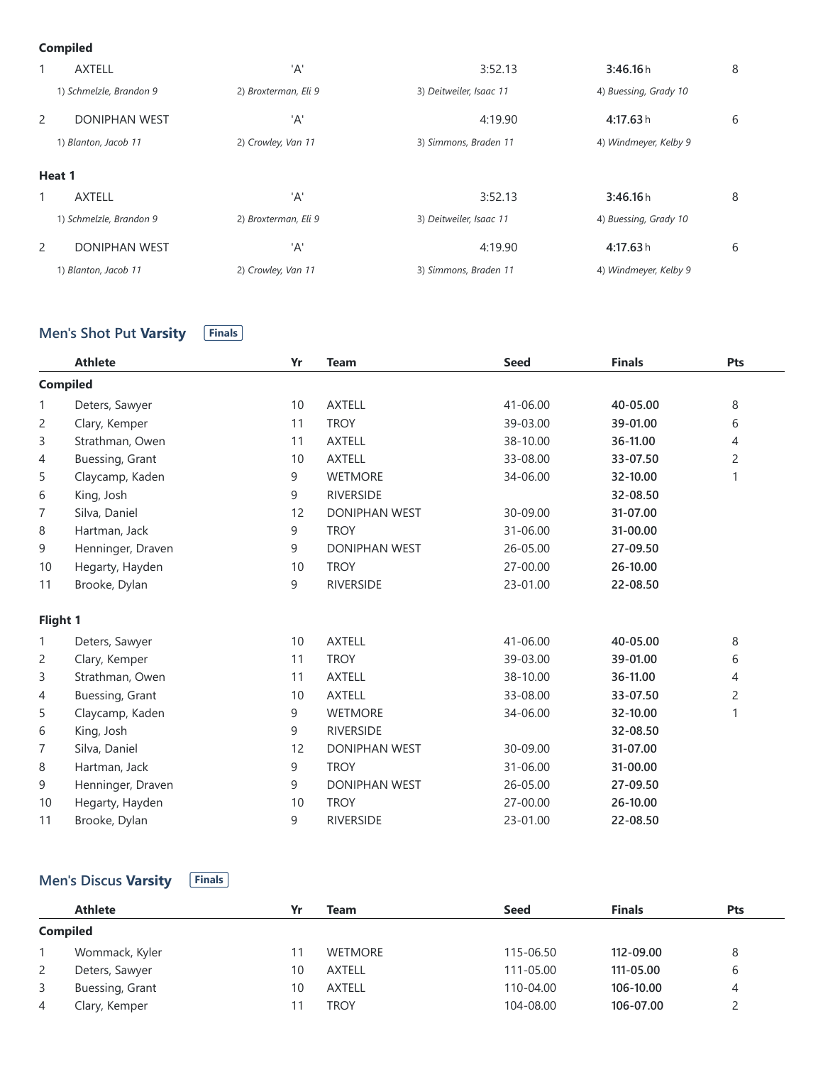#### **Compiled**

|   | <b>AXTELL</b>           | 'A'                  | 3:52.13                 | 3:46.16h              | 8 |
|---|-------------------------|----------------------|-------------------------|-----------------------|---|
|   | 1) Schmelzle, Brandon 9 | 2) Broxterman, Eli 9 | 3) Deitweiler, Isaac 11 | 4) Buessing, Grady 10 |   |
| 2 | <b>DONIPHAN WEST</b>    | 'A'                  | 4:19.90                 | 4:17.63h              | 6 |
|   | 1) Blanton, Jacob 11    | 2) Crowley, Van 11   | 3) Simmons, Braden 11   | 4) Windmeyer, Kelby 9 |   |
|   | Heat 1                  |                      |                         |                       |   |
|   | <b>AXTELL</b>           | 'A'                  | 3:52.13                 | 3:46.16h              | 8 |
|   | 1) Schmelzle, Brandon 9 | 2) Broxterman, Eli 9 | 3) Deitweiler, Isaac 11 | 4) Buessing, Grady 10 |   |
| 2 | <b>DONIPHAN WEST</b>    | 'A'                  | 4:19.90                 | 4:17.63h              | 6 |
|   | 1) Blanton, Jacob 11    | 2) Crowley, Van 11   | 3) Simmons, Braden 11   | 4) Windmeyer, Kelby 9 |   |

### **Men's Shot Put Varsity Finals**

|                | <b>Athlete</b>    | Yr | <b>Team</b>          | <b>Seed</b> | <b>Finals</b> | Pts            |
|----------------|-------------------|----|----------------------|-------------|---------------|----------------|
|                | <b>Compiled</b>   |    |                      |             |               |                |
| 1              | Deters, Sawyer    | 10 | <b>AXTELL</b>        | 41-06.00    | 40-05.00      | 8              |
| 2              | Clary, Kemper     | 11 | <b>TROY</b>          | 39-03.00    | 39-01.00      | 6              |
| 3              | Strathman, Owen   | 11 | <b>AXTELL</b>        | 38-10.00    | 36-11.00      | 4              |
| 4              | Buessing, Grant   | 10 | <b>AXTELL</b>        | 33-08.00    | 33-07.50      | $\overline{c}$ |
| 5              | Claycamp, Kaden   | 9  | <b>WETMORE</b>       | 34-06.00    | 32-10.00      | 1              |
| 6              | King, Josh        | 9  | <b>RIVERSIDE</b>     |             | 32-08.50      |                |
| $\overline{7}$ | Silva, Daniel     | 12 | <b>DONIPHAN WEST</b> | 30-09.00    | 31-07.00      |                |
| 8              | Hartman, Jack     | 9  | <b>TROY</b>          | 31-06.00    | 31-00.00      |                |
| 9              | Henninger, Draven | 9  | <b>DONIPHAN WEST</b> | 26-05.00    | 27-09.50      |                |
| 10             | Hegarty, Hayden   | 10 | <b>TROY</b>          | 27-00.00    | 26-10.00      |                |
| 11             | Brooke, Dylan     | 9  | <b>RIVERSIDE</b>     | 23-01.00    | 22-08.50      |                |
| Flight 1       |                   |    |                      |             |               |                |
| 1              | Deters, Sawyer    | 10 | <b>AXTELL</b>        | 41-06.00    | 40-05.00      | 8              |
| 2              | Clary, Kemper     | 11 | <b>TROY</b>          | 39-03.00    | 39-01.00      | 6              |
| 3              | Strathman, Owen   | 11 | <b>AXTELL</b>        | 38-10.00    | 36-11.00      | 4              |
| 4              | Buessing, Grant   | 10 | <b>AXTELL</b>        | 33-08.00    | 33-07.50      | $\overline{c}$ |
| 5              | Claycamp, Kaden   | 9  | <b>WETMORE</b>       | 34-06.00    | 32-10.00      | 1              |
| 6              | King, Josh        | 9  | <b>RIVERSIDE</b>     |             | 32-08.50      |                |
| 7              | Silva, Daniel     | 12 | <b>DONIPHAN WEST</b> | 30-09.00    | 31-07.00      |                |
| 8              | Hartman, Jack     | 9  | <b>TROY</b>          | 31-06.00    | 31-00.00      |                |
| 9              | Henninger, Draven | 9  | <b>DONIPHAN WEST</b> | 26-05.00    | 27-09.50      |                |
| 10             | Hegarty, Hayden   | 10 | <b>TROY</b>          | 27-00.00    | 26-10.00      |                |
| 11             | Brooke, Dylan     | 9  | <b>RIVERSIDE</b>     | 23-01.00    | 22-08.50      |                |

# **Men's Discus Varsity Finals**

|                | <b>Athlete</b>  | Yr | Team           | <b>Seed</b> | <b>Finals</b> | <b>Pts</b> |  |  |
|----------------|-----------------|----|----------------|-------------|---------------|------------|--|--|
|                | <b>Compiled</b> |    |                |             |               |            |  |  |
|                | Wommack, Kyler  |    | <b>WETMORE</b> | 115-06.50   | 112-09.00     | 8          |  |  |
| $\overline{2}$ | Deters, Sawyer  | 10 | <b>AXTELL</b>  | 111-05.00   | 111-05.00     | 6          |  |  |
| 3              | Buessing, Grant | 10 | <b>AXTELL</b>  | 110-04.00   | 106-10.00     | 4          |  |  |
| 4              | Clary, Kemper   |    | <b>TROY</b>    | 104-08.00   | 106-07.00     |            |  |  |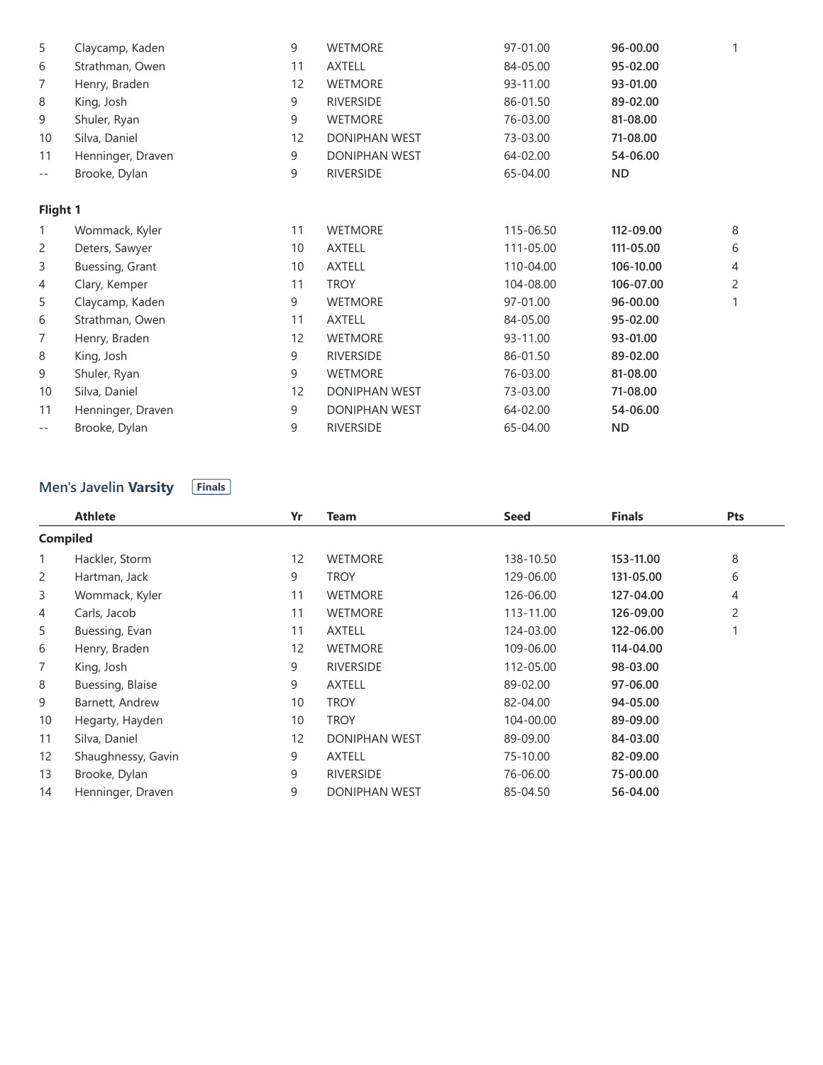|                   | <b>Compiled</b>                               |    |                      |             |               |                |
|-------------------|-----------------------------------------------|----|----------------------|-------------|---------------|----------------|
|                   | <b>Athlete</b>                                | Yr | <b>Team</b>          | <b>Seed</b> | <b>Finals</b> | Pts            |
|                   | <b>Men's Javelin Varsity</b><br><b>Finals</b> |    |                      |             |               |                |
| $\qquad \qquad -$ | Brooke, Dylan                                 | 9  | <b>RIVERSIDE</b>     | 65-04.00    | <b>ND</b>     |                |
| 11                | Henninger, Draven                             | 9  | <b>DONIPHAN WEST</b> | 64-02.00    | 54-06.00      |                |
| 10                | Silva, Daniel                                 | 12 | DONIPHAN WEST        | 73-03.00    | 71-08.00      |                |
| 9                 | Shuler, Ryan                                  | 9  | <b>WETMORE</b>       | 76-03.00    | 81-08.00      |                |
| 8                 | King, Josh                                    | 9  | <b>RIVERSIDE</b>     | 86-01.50    | 89-02.00      |                |
| 7                 | Henry, Braden                                 | 12 | <b>WETMORE</b>       | 93-11.00    | 93-01.00      |                |
| 6                 | Strathman, Owen                               | 11 | <b>AXTELL</b>        | 84-05.00    | 95-02.00      |                |
| 5                 | Claycamp, Kaden                               | 9  | <b>WETMORE</b>       | 97-01.00    | 96-00.00      | $\mathbf{1}$   |
| 4                 | Clary, Kemper                                 | 11 | <b>TROY</b>          | 104-08.00   | 106-07.00     | $\overline{c}$ |
| 3                 | Buessing, Grant                               | 10 | <b>AXTELL</b>        | 110-04.00   | 106-10.00     | 4              |
| 2                 | Deters, Sawyer                                | 10 | <b>AXTELL</b>        | 111-05.00   | 111-05.00     | 6              |
| 1                 | Wommack, Kyler                                | 11 | <b>WETMORE</b>       | 115-06.50   | 112-09.00     | 8              |
| Flight 1          |                                               |    |                      |             |               |                |
| $ -$              | Brooke, Dylan                                 | 9  | <b>RIVERSIDE</b>     | 65-04.00    | <b>ND</b>     |                |
| 11                | Henninger, Draven                             | 9  | <b>DONIPHAN WEST</b> | 64-02.00    | 54-06.00      |                |
| 10                | Silva, Daniel                                 | 12 | DONIPHAN WEST        | 73-03.00    | 71-08.00      |                |
| 9                 | Shuler, Ryan                                  | 9  | <b>WETMORE</b>       | 76-03.00    | 81-08.00      |                |
| 8                 | King, Josh                                    | 9  | <b>RIVERSIDE</b>     | 86-01.50    | 89-02.00      |                |
| 7                 | Henry, Braden                                 | 12 | <b>WETMORE</b>       | 93-11.00    | 93-01.00      |                |
| 6                 | Strathman, Owen                               | 11 | <b>AXTELL</b>        | 84-05.00    | 95-02.00      |                |
| 5                 | Claycamp, Kaden                               | 9  | <b>WETMORE</b>       | 97-01.00    | 96-00.00      | 1              |

#### **Men's Javelin Varsity Finals**

|                   | <b>Athlete</b>     | Yr | <b>Team</b>          | <b>Seed</b> | <b>Finals</b> | Pts            |
|-------------------|--------------------|----|----------------------|-------------|---------------|----------------|
| <b>Compiled</b>   |                    |    |                      |             |               |                |
| $\mathbf{1}$      | Hackler, Storm     | 12 | <b>WETMORE</b>       | 138-10.50   | 153-11.00     | 8              |
| 2                 | Hartman, Jack      | 9  | <b>TROY</b>          | 129-06.00   | 131-05.00     | 6              |
| 3                 | Wommack, Kyler     | 11 | <b>WETMORE</b>       | 126-06.00   | 127-04.00     | 4              |
| 4                 | Carls, Jacob       | 11 | <b>WETMORE</b>       | 113-11.00   | 126-09.00     | $\overline{c}$ |
| 5                 | Buessing, Evan     | 11 | <b>AXTELL</b>        | 124-03.00   | 122-06.00     |                |
| 6                 | Henry, Braden      | 12 | <b>WETMORE</b>       | 109-06.00   | 114-04.00     |                |
| 7                 | King, Josh         | 9  | <b>RIVERSIDE</b>     | 112-05.00   | 98-03.00      |                |
| 8                 | Buessing, Blaise   | 9  | <b>AXTELL</b>        | 89-02.00    | 97-06.00      |                |
| 9                 | Barnett, Andrew    | 10 | <b>TROY</b>          | 82-04.00    | 94-05.00      |                |
| 10                | Hegarty, Hayden    | 10 | <b>TROY</b>          | 104-00.00   | 89-09.00      |                |
| 11                | Silva, Daniel      | 12 | <b>DONIPHAN WEST</b> | 89-09.00    | 84-03.00      |                |
| $12 \overline{ }$ | Shaughnessy, Gavin | 9  | <b>AXTELL</b>        | 75-10.00    | 82-09.00      |                |
| 13                | Brooke, Dylan      | 9  | <b>RIVERSIDE</b>     | 76-06.00    | 75-00.00      |                |
| 14                | Henninger, Draven  | 9  | <b>DONIPHAN WEST</b> | 85-04.50    | 56-04.00      |                |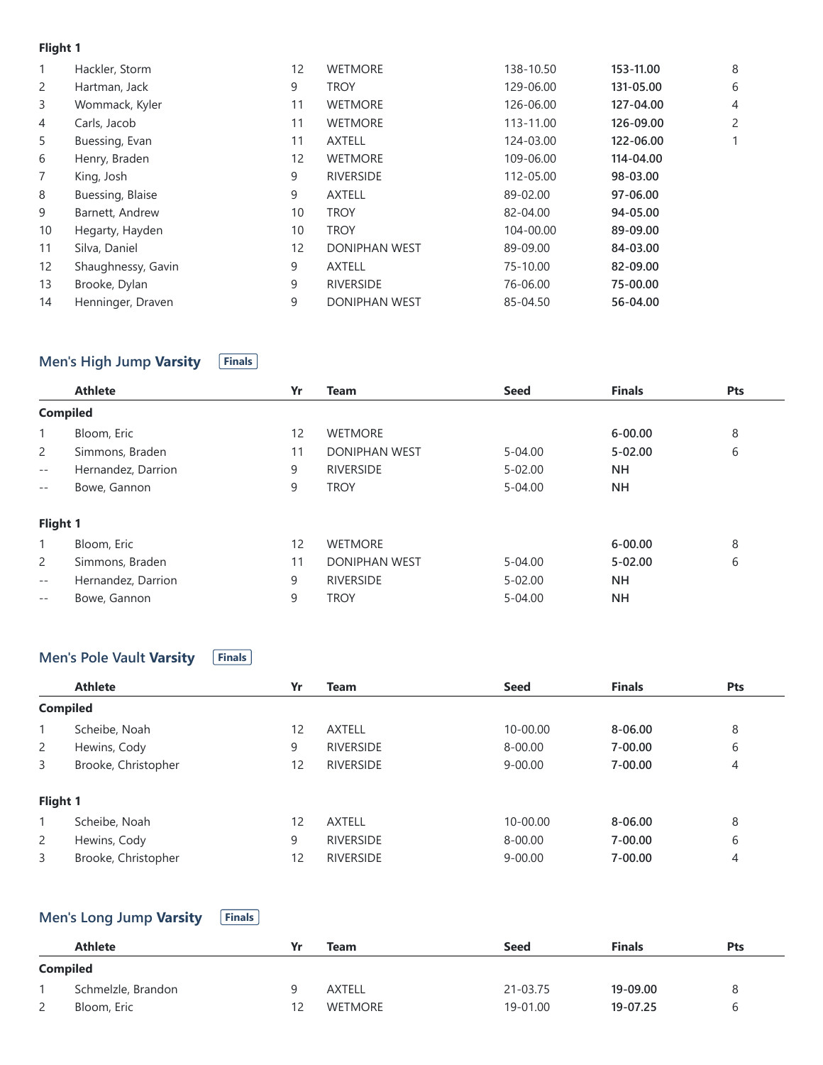### **Flight 1**

| 1              | Hackler, Storm     | 12 | <b>WETMORE</b>       | 138-10.50 | 153-11.00 | 8 |
|----------------|--------------------|----|----------------------|-----------|-----------|---|
| 2              | Hartman, Jack      | 9  | <b>TROY</b>          | 129-06.00 | 131-05.00 | 6 |
| 3              | Wommack, Kyler     | 11 | <b>WETMORE</b>       | 126-06.00 | 127-04.00 | 4 |
| 4              | Carls, Jacob       | 11 | <b>WETMORE</b>       | 113-11.00 | 126-09.00 | 2 |
| 5              | Buessing, Evan     | 11 | <b>AXTELL</b>        | 124-03.00 | 122-06.00 |   |
| 6              | Henry, Braden      | 12 | <b>WETMORE</b>       | 109-06.00 | 114-04.00 |   |
| $\overline{7}$ | King, Josh         | 9  | <b>RIVERSIDE</b>     | 112-05.00 | 98-03.00  |   |
| 8              | Buessing, Blaise   | 9  | <b>AXTELL</b>        | 89-02.00  | 97-06.00  |   |
| 9              | Barnett, Andrew    | 10 | <b>TROY</b>          | 82-04.00  | 94-05.00  |   |
| 10             | Hegarty, Hayden    | 10 | <b>TROY</b>          | 104-00.00 | 89-09.00  |   |
| 11             | Silva, Daniel      | 12 | <b>DONIPHAN WEST</b> | 89-09.00  | 84-03.00  |   |
| 12             | Shaughnessy, Gavin | 9  | <b>AXTELL</b>        | 75-10.00  | 82-09.00  |   |
| 13             | Brooke, Dylan      | 9  | <b>RIVERSIDE</b>     | 76-06.00  | 75-00.00  |   |
| 14             | Henninger, Draven  | 9  | <b>DONIPHAN WEST</b> | 85-04.50  | 56-04.00  |   |
|                |                    |    |                      |           |           |   |

### **Men's High Jump Varsity Finals**

|                 | <b>Athlete</b>     | Yr | <b>Team</b>          | <b>Seed</b> | <b>Finals</b> | Pts |
|-----------------|--------------------|----|----------------------|-------------|---------------|-----|
| <b>Compiled</b> |                    |    |                      |             |               |     |
| $\mathbf{1}$    | Bloom, Eric        | 12 | <b>WETMORE</b>       |             | $6 - 00.00$   | 8   |
| 2               | Simmons, Braden    | 11 | <b>DONIPHAN WEST</b> | $5 - 04.00$ | $5 - 02.00$   | 6   |
| $ -$            | Hernandez, Darrion | 9  | <b>RIVERSIDE</b>     | $5 - 02.00$ | <b>NH</b>     |     |
| $- -$           | Bowe, Gannon       | 9  | <b>TROY</b>          | $5 - 04.00$ | <b>NH</b>     |     |
| Flight 1        |                    |    |                      |             |               |     |
| $\mathbf{1}$    | Bloom, Eric        | 12 | <b>WETMORE</b>       |             | $6 - 00.00$   | 8   |
| $\overline{2}$  | Simmons, Braden    | 11 | <b>DONIPHAN WEST</b> | $5 - 04.00$ | $5 - 02.00$   | 6   |
| $ -$            | Hernandez, Darrion | 9  | <b>RIVERSIDE</b>     | $5 - 02.00$ | <b>NH</b>     |     |
| $- -$           | Bowe, Gannon       | 9  | <b>TROY</b>          | $5 - 04.00$ | <b>NH</b>     |     |

#### **Men's Pole Vault Varsity Finals**

|                | <b>Athlete</b>      | Yr | <b>Team</b>      | <b>Seed</b> | <b>Finals</b> | <b>Pts</b>     |
|----------------|---------------------|----|------------------|-------------|---------------|----------------|
|                | <b>Compiled</b>     |    |                  |             |               |                |
| $\mathbf{1}$   | Scheibe, Noah       | 12 | <b>AXTELL</b>    | 10-00.00    | $8 - 06.00$   | 8              |
| $\mathbf{2}$   | Hewins, Cody        | 9  | <b>RIVERSIDE</b> | $8 - 00.00$ | $7 - 00.00$   | 6              |
| 3              | Brooke, Christopher | 12 | <b>RIVERSIDE</b> | $9 - 00.00$ | $7 - 00.00$   | $\overline{4}$ |
| Flight 1       |                     |    |                  |             |               |                |
|                | Scheibe, Noah       | 12 | <b>AXTELL</b>    | 10-00.00    | 8-06.00       | 8              |
| $\overline{2}$ | Hewins, Cody        | 9  | <b>RIVERSIDE</b> | $8 - 00.00$ | $7 - 00.00$   | 6              |
| 3              | Brooke, Christopher | 12 | <b>RIVERSIDE</b> | $9 - 00.00$ | $7 - 00.00$   | 4              |

# **Men's Long Jump Varsity Finals**

|                 | <b>Athlete</b>     |    | Team           | <b>Seed</b> | <b>Finals</b> | <b>Pts</b> |
|-----------------|--------------------|----|----------------|-------------|---------------|------------|
| <b>Compiled</b> |                    |    |                |             |               |            |
|                 | Schmelzle, Brandon |    | <b>AXTELL</b>  | 21-03.75    | 19-09.00      | 8          |
| 2               | Bloom, Eric        | 12 | <b>WETMORE</b> | 19-01.00    | 19-07.25      | h          |